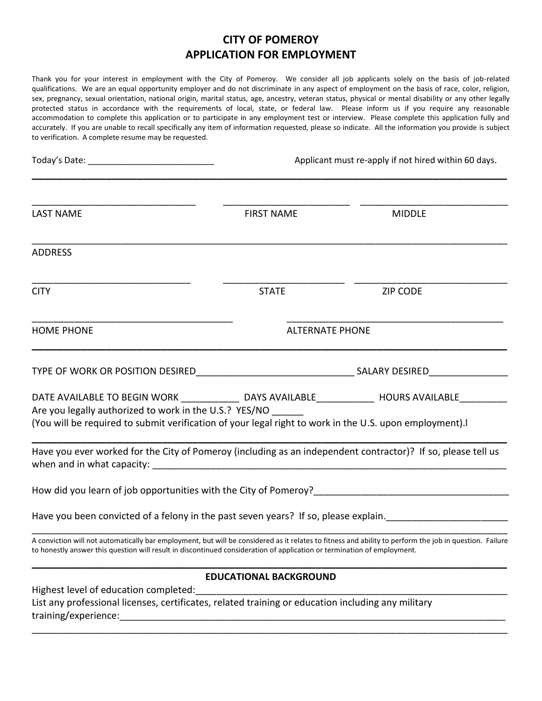## **CITY OF POMEROY APPLICATION FOR EMPLOYMENT**

Thank you for your interest in employment with the City of Pomeroy. We consider all job applicants solely on the basis of job-related qualifications. We are an equal opportunity employer and do not discriminate in any aspect of employment on the basis of race, color, religion, sex, pregnancy, sexual orientation, national origin, marital status, age, ancestry, veteran status, physical or mental disability or any other legally protected status in accordance with the requirements of local, state, or federal law. Please inform us if you require any reasonable accommodation to complete this application or to participate in any employment test or interview. Please complete this application fully and accurately. If you are unable to recall specifically any item of information requested, please so indicate. All the information you provide is subject to verification. A complete resume may be requested.

|                                                               |                                                                                                                         | Applicant must re-apply if not hired within 60 days.                                                                                                                         |  |  |
|---------------------------------------------------------------|-------------------------------------------------------------------------------------------------------------------------|------------------------------------------------------------------------------------------------------------------------------------------------------------------------------|--|--|
| <b>LAST NAME</b>                                              | <b>FIRST NAME</b>                                                                                                       | <b>MIDDLE</b>                                                                                                                                                                |  |  |
| <b>ADDRESS</b>                                                |                                                                                                                         |                                                                                                                                                                              |  |  |
| <b>CITY</b>                                                   | <b>STATE</b>                                                                                                            | <b>ZIP CODE</b>                                                                                                                                                              |  |  |
| <b>HOME PHONE</b>                                             |                                                                                                                         | <b>ALTERNATE PHONE</b>                                                                                                                                                       |  |  |
|                                                               |                                                                                                                         |                                                                                                                                                                              |  |  |
| Are you legally authorized to work in the U.S.? YES/NO        | (You will be required to submit verification of your legal right to work in the U.S. upon employment).                  | DATE AVAILABLE TO BEGIN WORK ________________ DAYS AVAILABLE______________ HOURS AVAILABLE__________                                                                         |  |  |
|                                                               | Have you ever worked for the City of Pomeroy (including as an independent contractor)? If so, please tell us            |                                                                                                                                                                              |  |  |
|                                                               |                                                                                                                         |                                                                                                                                                                              |  |  |
|                                                               |                                                                                                                         | Have you been convicted of a felony in the past seven years? If so, please explain. [10] Have you been convicted of a felony in the past seven years? If so, please explain. |  |  |
|                                                               | to honestly answer this question will result in discontinued consideration of application or termination of employment. | A conviction will not automatically bar employment, but will be considered as it relates to fitness and ability to perform the job in question. Failure                      |  |  |
|                                                               | <b>EDUCATIONAL BACKGROUND</b>                                                                                           |                                                                                                                                                                              |  |  |
| Highest level of education completed:<br>training/experience: | List any professional licenses, certificates, related training or education including any military                      |                                                                                                                                                                              |  |  |

\_\_\_\_\_\_\_\_\_\_\_\_\_\_\_\_\_\_\_\_\_\_\_\_\_\_\_\_\_\_\_\_\_\_\_\_\_\_\_\_\_\_\_\_\_\_\_\_\_\_\_\_\_\_\_\_\_\_\_\_\_\_\_\_\_\_\_\_\_\_\_\_\_\_\_\_\_\_\_\_\_\_\_\_\_\_\_\_\_\_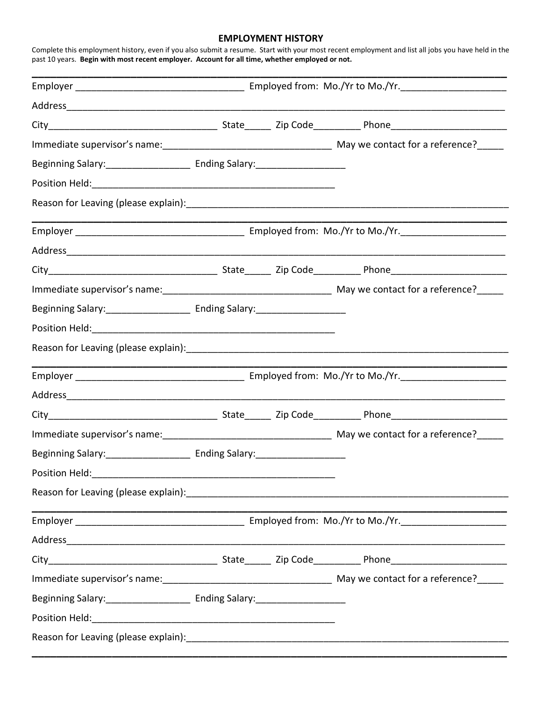## **EMPLOYMENT HISTORY**

Complete this employment history, even if you also submit a resume. Start with your most recent employment and list all jobs you have held in the past 10 years. **Begin with most recent employer. Account for all time, whether employed or not.**

| Address                                                                                                                                                                                                                        |  |  |  |  |  |
|--------------------------------------------------------------------------------------------------------------------------------------------------------------------------------------------------------------------------------|--|--|--|--|--|
|                                                                                                                                                                                                                                |  |  |  |  |  |
|                                                                                                                                                                                                                                |  |  |  |  |  |
|                                                                                                                                                                                                                                |  |  |  |  |  |
|                                                                                                                                                                                                                                |  |  |  |  |  |
|                                                                                                                                                                                                                                |  |  |  |  |  |
|                                                                                                                                                                                                                                |  |  |  |  |  |
| Address and the contract of the contract of the contract of the contract of the contract of the contract of the contract of the contract of the contract of the contract of the contract of the contract of the contract of th |  |  |  |  |  |
|                                                                                                                                                                                                                                |  |  |  |  |  |
|                                                                                                                                                                                                                                |  |  |  |  |  |
|                                                                                                                                                                                                                                |  |  |  |  |  |
|                                                                                                                                                                                                                                |  |  |  |  |  |
|                                                                                                                                                                                                                                |  |  |  |  |  |
|                                                                                                                                                                                                                                |  |  |  |  |  |
|                                                                                                                                                                                                                                |  |  |  |  |  |
|                                                                                                                                                                                                                                |  |  |  |  |  |
|                                                                                                                                                                                                                                |  |  |  |  |  |
|                                                                                                                                                                                                                                |  |  |  |  |  |
|                                                                                                                                                                                                                                |  |  |  |  |  |
|                                                                                                                                                                                                                                |  |  |  |  |  |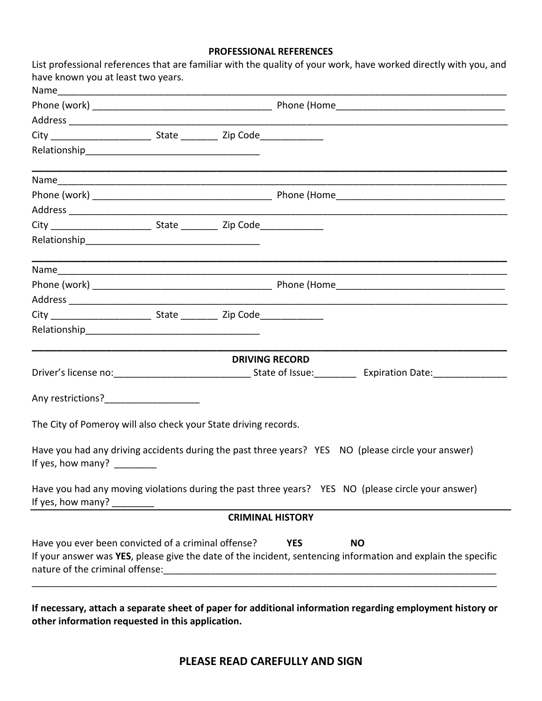## **PROFESSIONAL REFERENCES**

| have known you at least two years.                              |  |                         | List professional references that are familiar with the quality of your work, have worked directly with you, and           |
|-----------------------------------------------------------------|--|-------------------------|----------------------------------------------------------------------------------------------------------------------------|
| Name                                                            |  |                         |                                                                                                                            |
|                                                                 |  |                         |                                                                                                                            |
|                                                                 |  |                         |                                                                                                                            |
|                                                                 |  |                         |                                                                                                                            |
|                                                                 |  |                         |                                                                                                                            |
|                                                                 |  |                         |                                                                                                                            |
|                                                                 |  |                         |                                                                                                                            |
|                                                                 |  |                         |                                                                                                                            |
|                                                                 |  |                         |                                                                                                                            |
|                                                                 |  |                         |                                                                                                                            |
|                                                                 |  |                         |                                                                                                                            |
|                                                                 |  |                         |                                                                                                                            |
|                                                                 |  |                         |                                                                                                                            |
|                                                                 |  |                         |                                                                                                                            |
|                                                                 |  |                         |                                                                                                                            |
|                                                                 |  | <b>DRIVING RECORD</b>   |                                                                                                                            |
|                                                                 |  |                         |                                                                                                                            |
|                                                                 |  |                         |                                                                                                                            |
| The City of Pomeroy will also check your State driving records. |  |                         |                                                                                                                            |
| If yes, how many? $\frac{1}{2}$                                 |  |                         | Have you had any driving accidents during the past three years? YES NO (please circle your answer)                         |
|                                                                 |  |                         | Have you had any moving violations during the past three years? YES NO (please circle your answer)                         |
|                                                                 |  | <b>CRIMINAL HISTORY</b> |                                                                                                                            |
| Have you ever been convicted of a criminal offense?             |  | <b>YES</b>              | <b>NO</b><br>If your answer was YES, please give the date of the incident, sentencing information and explain the specific |
|                                                                 |  |                         |                                                                                                                            |

**If necessary, attach a separate sheet of paper for additional information regarding employment history or other information requested in this application.**